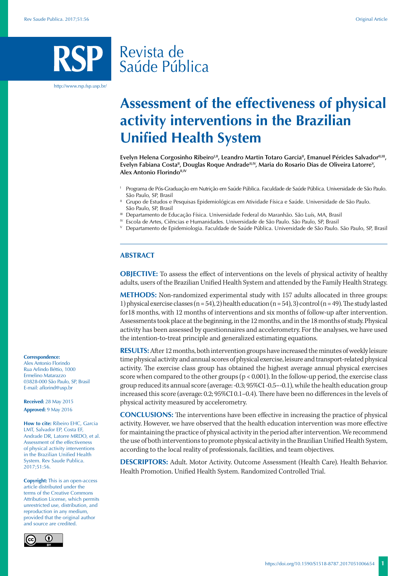# Revista de Saúde Pública

http://www.rsp.fsp.usp.br/

# **Assessment of the effectiveness of physical activity interventions in the Brazilian Unified Health System**

Evelyn Helena Corgosinho Ribeiro<sup>I,II</sup>, Leandro Martin Totaro Garcia<sup>II</sup>, Emanuel Péricles Salvador<sup>II,III</sup>, Evelyn Fabiana Costa<sup>ii</sup>, Douglas Roque Andrade<sup>ii, IV</sup>, Maria do Rosario Dias de Oliveira Latorre<sup>v</sup>, **Alex Antonio Florindo<sup>II,IV</sup>** 

- <sup>I</sup> Programa de Pós-Graduação em Nutrição em Saúde Pública. Faculdade de Saúde Pública. Universidade de São Paulo. São Paulo, SP, Brasil
- II Grupo de Estudos e Pesquisas Epidemiológicas em Atividade Física e Saúde. Universidade de São Paulo. São Paulo, SP, Brasil
- III Departamento de Educação Física. Universidade Federal do Maranhão. São Luís, MA, Brasil
- IV Escola de Artes, Ciências e Humanidades. Universidade de São Paulo. São Paulo, SP, Brasil
- <sup>V</sup> Departamento de Epidemiologia. Faculdade de Saúde Pública. Universidade de São Paulo. São Paulo, SP, Brasil

## **ABSTRACT**

**OBJECTIVE:** To assess the effect of interventions on the levels of physical activity of healthy adults, users of the Brazilian Unified Health System and attended by the Family Health Strategy.

**METHODS:** Non-randomized experimental study with 157 adults allocated in three groups: 1) physical exercise classes (n = 54), 2) health education (n = 54), 3) control (n = 49). The study lasted for18 months, with 12 months of interventions and six months of follow-up after intervention. Assessments took place at the beginning, in the 12 months, and in the 18 months of study. Physical activity has been assessed by questionnaires and accelerometry. For the analyses, we have used the intention-to-treat principle and generalized estimating equations.

**RESULTS:** After 12 months, both intervention groups have increased the minutes of weekly leisure time physical activity and annual scores of physical exercise, leisure and transport-related physical activity. The exercise class group has obtained the highest average annual physical exercises score when compared to the other groups  $(p < 0.001)$ . In the follow-up period, the exercise class group reduced its annual score (average: -0.3; 95%CI -0.5–-0.1), while the health education group increased this score (average: 0.2; 95%CI 0.1–0.4). There have been no differences in the levels of physical activity measured by accelerometry.

**CONCLUSIONS:** The interventions have been effective in increasing the practice of physical activity. However, we have observed that the health education intervention was more effective for maintaining the practice of physical activity in the period after intervention. We recommend the use of both interventions to promote physical activity in the Brazilian Unified Health System, according to the local reality of professionals, facilities, and team objectives.

**DESCRIPTORS:** Adult. Motor Activity. Outcome Assessment (Health Care). Health Behavior. Health Promotion. Unified Health System. Randomized Controlled Trial.

#### **Correspondence:**

Alex Antonio Florindo Rua Arlindo Béttio, 1000 Ermelino Matarazzo 03828-000 São Paulo, SP, Brasil E-mail: aflorind@usp.br

**Received:** 28 May 2015 **Approved:** 9 May 2016

**How to cite:** Ribeiro EHC, Garcia LMT, Salvador EP, Costa EF, Andrade DR, Latorre MRDO, et al. Assessment of the effectiveness of physical activity interventions in the Brazilian Unified Health System. Rev Saude Publica. 2017;51:56.

**Copyright:** This is an open-access article distributed under the terms of the Creative Commons Attribution License, which permits unrestricted use, distribution, and reproduction in any medium, provided that the original author and source are credited.

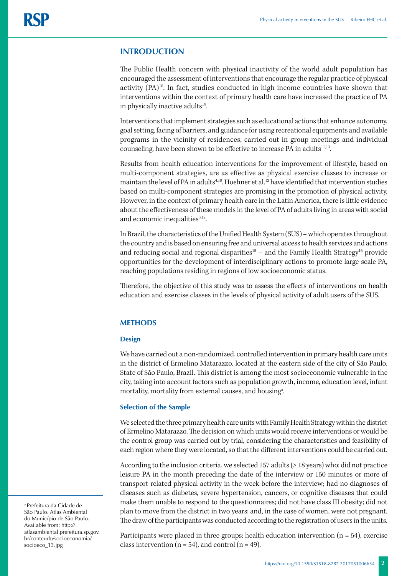# **INTRODUCTION**

The Public Health concern with physical inactivity of the world adult population has encouraged the assessment of interventions that encourage the regular practice of physical activity (PA)<sup>10</sup>. In fact, studies conducted in high-income countries have shown that interventions within the context of primary health care have increased the practice of PA in physically inactive adults<sup>19</sup>.

Interventions that implement strategies such as educational actions that enhance autonomy, goal setting, facing of barriers, and guidance for using recreational equipments and available programs in the vicinity of residences, carried out in group meetings and individual counseling, have been shown to be effective to increase PA in adults<sup>11,13</sup>.

Results from health education interventions for the improvement of lifestyle, based on multi-component strategies, are as effective as physical exercise classes to increase or maintain the level of PA in adults<sup>4,18</sup>. Hoehner et al.<sup>12</sup> have identified that intervention studies based on multi-component strategies are promising in the promotion of physical activity. However, in the context of primary health care in the Latin America, there is little evidence about the effectiveness of these models in the level of PA of adults living in areas with social and economic inequalities<sup>3,12</sup>.

In Brazil, the characteristics of the Unified Health System (SUS) – which operates throughout the country and is based on ensuring free and universal access to health services and actions and reducing social and regional disparities<sup>15</sup> – and the Family Health Strategy<sup>16</sup> provide opportunities for the development of interdisciplinary actions to promote large-scale PA, reaching populations residing in regions of low socioeconomic status.

Therefore, the objective of this study was to assess the effects of interventions on health education and exercise classes in the levels of physical activity of adult users of the SUS.

# **METHODS**

#### **Design**

We have carried out a non-randomized, controlled intervention in primary health care units in the district of Ermelino Matarazzo, located at the eastern side of the city of São Paulo, State of São Paulo, Brazil. This district is among the most socioeconomic vulnerable in the city, taking into account factors such as population growth, income, education level, infant mortality, mortality from external causes, and housing<sup>a</sup>.

## **Selection of the Sample**

We selected the three primary health care units with Family Health Strategy within the district of Ermelino Matarazzo. The decision on which units would receive interventions or would be the control group was carried out by trial, considering the characteristics and feasibility of each region where they were located, so that the different interventions could be carried out.

According to the inclusion criteria, we selected 157 adults (≥ 18 years) who: did not practice leisure PA in the month preceding the date of the interview or 150 minutes or more of transport-related physical activity in the week before the interview; had no diagnoses of diseases such as diabetes, severe hypertension, cancers, or cognitive diseases that could make them unable to respond to the questionnaires; did not have class III obesity; did not plan to move from the district in two years; and, in the case of women, were not pregnant. The draw of the participants was conducted according to the registration of users in the units.

Participants were placed in three groups: health education intervention ( $n = 54$ ), exercise class intervention ( $n = 54$ ), and control ( $n = 49$ ).

a Prefeitura da Cidade de São Paulo. Atlas Ambiental do Município de São Paulo. Available from: http:// atlasambiental.prefeitura.sp.gov. br/conteudo/socioeconomia/ socioeco\_13.jpg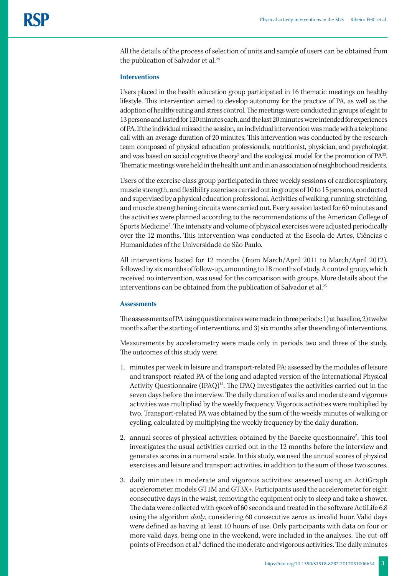All the details of the process of selection of units and sample of users can be obtained from the publication of Salvador et al.<sup>24</sup>

#### **Interventions**

Users placed in the health education group participated in 16 thematic meetings on healthy lifestyle. This intervention aimed to develop autonomy for the practice of PA, as well as the adoption of healthy eating and stress control. The meetings were conducted in groups of eight to 13 persons and lasted for 120 minutes each, and the last 20 minutes were intended for experiences of PA. If the individual missed the session, an individual intervention was made with a telephone call with an average duration of 20 minutes. This intervention was conducted by the research team composed of physical education professionals, nutritionist, physician, and psychologist and was based on social cognitive theory<sup>2</sup> and the ecological model for the promotion of  $PA^{23}$ . Thematic meetings were held in the health unit and in an association of neighborhood residents.

Users of the exercise class group participated in three weekly sessions of cardiorespiratory, muscle strength, and flexibility exercises carried out in groups of 10 to 15 persons, conducted and supervised by a physical education professional. Activities of walking, running, stretching, and muscle strengthening circuits were carried out. Every session lasted for 60 minutes and the activities were planned according to the recommendations of the American College of Sports Medicine7 . The intensity and volume of physical exercises were adjusted periodically over the 12 months. This intervention was conducted at the Escola de Artes, Ciências e Humanidades of the Universidade de São Paulo.

All interventions lasted for 12 months ( from March/April 2011 to March/April 2012), followed by six months of follow-up, amounting to 18 months of study. A control group, which received no intervention, was used for the comparison with groups. More details about the interventions can be obtained from the publication of Salvador et al.25

### **Assessments**

The assessments of PA using questionnaires were made in three periods: 1) at baseline, 2) twelve months after the starting of interventions, and 3) six months after the ending of interventions.

Measurements by accelerometry were made only in periods two and three of the study. The outcomes of this study were:

- 1. minutes per week in leisure and transport-related PA: assessed by the modules of leisure and transport-related PA of the long and adapted version of the International Physical Activity Questionnaire  $(IPAQ)^{14}$ . The IPAQ investigates the activities carried out in the seven days before the interview. The daily duration of walks and moderate and vigorous activities was multiplied by the weekly frequency. Vigorous activities were multiplied by two. Transport-related PA was obtained by the sum of the weekly minutes of walking or cycling, calculated by multiplying the weekly frequency by the daily duration.
- 2. annual scores of physical activities: obtained by the Baecke questionnaire<sup>5</sup>. This tool investigates the usual activities carried out in the 12 months before the interview and generates scores in a numeral scale. In this study, we used the annual scores of physical exercises and leisure and transport activities, in addition to the sum of those two scores.
- 3. daily minutes in moderate and vigorous activities: assessed using an ActiGraph accelerometer, models GT1M and GT3X+. Participants used the accelerometer for eight consecutive days in the waist, removing the equipment only to sleep and take a shower. The data were collected with *epoch* of 60 seconds and treated in the software ActiLife 6.8 using the algorithm *daily*, considering 60 consecutive zeros as invalid hour. Valid days were defined as having at least 10 hours of use. Only participants with data on four or more valid days, being one in the weekend, were included in the analyses. The cut-off points of Freedson et al.<sup>6</sup> defined the moderate and vigorous activities. The daily minutes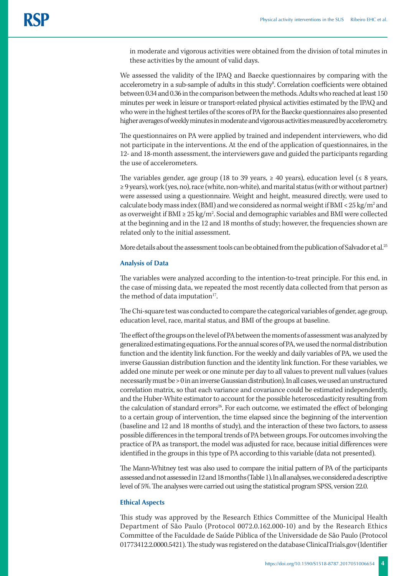in moderate and vigorous activities were obtained from the division of total minutes in these activities by the amount of valid days.

We assessed the validity of the IPAQ and Baecke questionnaires by comparing with the accelerometry in a sub-sample of adults in this study<sup>8</sup>. Correlation coefficients were obtained between 0.34 and 0.36 in the comparison between the methods. Adults who reached at least 150 minutes per week in leisure or transport-related physical activities estimated by the IPAQ and who were in the highest tertiles of the scores of PA for the Baecke questionnaires also presented higher averages of weekly minutes in moderate and vigorous activities measured by accelerometry.

The questionnaires on PA were applied by trained and independent interviewers, who did not participate in the interventions. At the end of the application of questionnaires, in the 12- and 18-month assessment, the interviewers gave and guided the participants regarding the use of accelerometers.

The variables gender, age group (18 to 39 years,  $\geq$  40 years), education level ( $\leq$  8 years, ≥ 9 years), work (yes, no), race (white, non-white), and marital status (with or without partner) were assessed using a questionnaire. Weight and height, measured directly, were used to calculate body mass index (BMI) and we considered as normal weight if BMI <  $25\,\mathrm{kg/m^2}$  and as overweight if BMI ≥  $25 \text{ kg/m}^2$ . Social and demographic variables and BMI were collected at the beginning and in the 12 and 18 months of study; however, the frequencies shown are related only to the initial assessment.

More details about the assessment tools can be obtained from the publication of Salvador et al.<sup>25</sup>

## **Analysis of Data**

The variables were analyzed according to the intention-to-treat principle. For this end, in the case of missing data, we repeated the most recently data collected from that person as the method of data imputation<sup>17</sup>.

The Chi-square test was conducted to compare the categorical variables of gender, age group, education level, race, marital status, and BMI of the groups at baseline.

The effect of the groups on the level of PA between the moments of assessment was analyzed by generalized estimating equations. For the annual scores of PA, we used the normal distribution function and the identity link function. For the weekly and daily variables of PA, we used the inverse Gaussian distribution function and the identity link function. For these variables, we added one minute per week or one minute per day to all values to prevent null values (values necessarily must be > 0 in an inverse Gaussian distribution). In all cases, we used an unstructured correlation matrix, so that each variance and covariance could be estimated independently, and the Huber-White estimator to account for the possible heteroscedasticity resulting from the calculation of standard errors<sup>26</sup>. For each outcome, we estimated the effect of belonging to a certain group of intervention, the time elapsed since the beginning of the intervention (baseline and 12 and 18 months of study), and the interaction of these two factors, to assess possible differences in the temporal trends of PA between groups. For outcomes involving the practice of PA as transport, the model was adjusted for race, because initial differences were identified in the groups in this type of PA according to this variable (data not presented).

The Mann-Whitney test was also used to compare the initial pattern of PA of the participants assessed and not assessed in 12 and 18 months (Table 1). In all analyses, we considered a descriptive level of 5%. The analyses were carried out using the statistical program SPSS, version 22.0.

#### **Ethical Aspects**

This study was approved by the Research Ethics Committee of the Municipal Health Department of São Paulo (Protocol 0072.0.162.000-10) and by the Research Ethics Committee of the Faculdade de Saúde Pública of the Universidade de São Paulo (Protocol 01773412.2.0000.5421). The study was registered on the database ClinicalTrials.gov (Identifier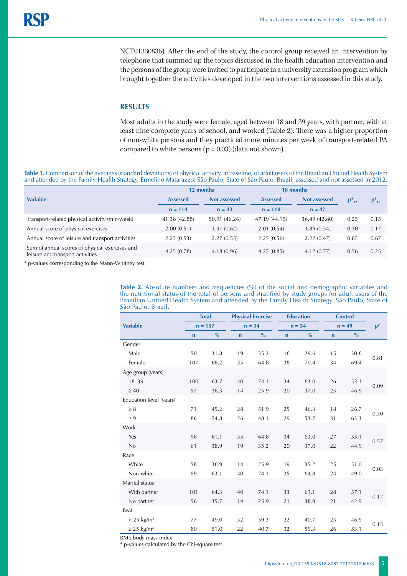NCT01330836). After the end of the study, the control group received an intervention by telephone that summed up the topics discussed in the health education intervention and the persons of the group were invited to participate in a university extension program which brought together the activities developed in the two interventions assessed in this study.

# **RESULTS**

Most adults in the study were female, aged between 18 and 39 years, with partner, with at least nine complete years of school, and worked (Table 2). There was a higher proportion of non-white persons and they practiced more minutes per week of transport-related PA compared to white persons  $(p = 0.03)$  (data not shown).

**Table 1.** Comparison of the averages (standard deviations) of physical activity, at baseline, of adult users of the Brazilian Unified Health System and attended by the Family Health Strategy, Ermelino Matarazzo, São Paulo, State of São Paulo, Brazil, assessed and not assessed in 2012.

|                                                                                    | 12 months       |                     | 18 months       |                     |            |            |
|------------------------------------------------------------------------------------|-----------------|---------------------|-----------------|---------------------|------------|------------|
| <b>Variable</b>                                                                    | <b>Assessed</b> | <b>Not assessed</b> | <b>Assessed</b> | <b>Not assessed</b> | $p_{12}^*$ | $p_{18}^*$ |
|                                                                                    | $n = 114$       | $n = 43$            | $n = 110$       | $n = 47$            |            |            |
| Transport-related physical activity (min/week)                                     | 41.38 (42.88)   | 50.91 (46.26)       | 47.19 (44.15)   | 36.49 (42.80)       | 0.25       | 0.15       |
| Annual score of physical exercises                                                 | 2.00(0.51)      | 1.91(0.62)          | 2.01(0.54)      | 1.89(0.54)          | 0.30       | 0.17       |
| Annual score of leisure and transport activities                                   | 2.23(0.53)      | 2.27(0.55)          | 2.25(0.56)      | 2.22(0.47)          | 0.85       | 0.67       |
| Sum of annual scores of physical exercises and<br>leisure and transport activities | 4.25(0.78)      | 4.18(0.96)          | 4.27(0.85)      | 4.12(0.77)          | 0.56       | 0.25       |

\* p-values corresponding to the Mann-Whitney test.

**Table 2.** Absolute numbers and frequencies (%) of the social and demographic variables and the nutritional status of the total of persons and stratified by study groups for adult users of the Brazilian Unified Health System and attended by the Family Health Strategy. São Paulo, State of São Paulo, Brazil.

|                             | <b>Total</b> |               | <b>Physical Exercise</b> |               | <b>Education</b> |               | <b>Control</b> |          |      |
|-----------------------------|--------------|---------------|--------------------------|---------------|------------------|---------------|----------------|----------|------|
| <b>Variable</b>             |              | $n = 157$     |                          | $n = 54$      |                  | $n = 54$      |                | $n = 49$ |      |
|                             | $\mathbf n$  | $\frac{0}{0}$ | $\mathbf n$              | $\frac{0}{0}$ | $\mathbf n$      | $\frac{0}{0}$ | $\mathbf n$    | $\%$     |      |
| Gender                      |              |               |                          |               |                  |               |                |          |      |
| Male                        | 50           | 31.8          | 19                       | 35.2          | 16               | 29.6          | 15             | 30.6     | 0.81 |
| Female                      | 107          | 68.2          | 35                       | 64.8          | 38               | 70.4          | 34             | 69.4     |      |
| Age group (years)           |              |               |                          |               |                  |               |                |          |      |
| $18 - 39$                   | 100          | 63.7          | 40                       | 74.1          | 34               | 63.0          | 26             | 53.1     |      |
| $\geq 40$                   | 57           | 36.3          | 14                       | 25.9          | 20               | 37.0          | 23             | 46.9     | 0.09 |
| Education level (years)     |              |               |                          |               |                  |               |                |          |      |
| $\geq 8$                    | 71           | 45.2          | 28                       | 51.9          | 25               | 46.3          | 18             | 26.7     |      |
| $\geq 9$                    | 86           | 54.8          | 26                       | 48.1          | 29               | 53.7          | 31             | 63.3     | 0.30 |
| Work                        |              |               |                          |               |                  |               |                |          |      |
| Yes                         | 96           | 61.1          | 35                       | 64.8          | 34               | 63.0          | 27             | 55.1     |      |
| No                          | 61           | 38.9          | 19                       | 35.2          | 20               | 37.0          | 22             | 44.9     | 0.57 |
| Race                        |              |               |                          |               |                  |               |                |          |      |
| White                       | 58           | 36.9          | 14                       | 25.9          | 19               | 35.2          | 25             | 51.0     |      |
| Non-white                   | 99           | 63.1          | 40                       | 74.1          | 35               | 64.8          | 24             | 49.0     | 0.03 |
| Marital status              |              |               |                          |               |                  |               |                |          |      |
| With partner                | 101          | 64.3          | 40                       | 74.1          | 33               | 61.1          | 28             | 57.1     |      |
| No partner                  | 56           | 35.7          | 14                       | 25.9          | 21               | 38.9          | 21             | 42.9     | 0.17 |
| BMI                         |              |               |                          |               |                  |               |                |          |      |
| $< 25$ kg/m <sup>2</sup>    | 77           | 49.0          | 32                       | 59.3          | 22               | 40.7          | 23             | 46.9     |      |
| $\geq$ 25 kg/m <sup>2</sup> | 80           | 51.0          | 22                       | 40.7          | 32               | 59.3          | 26             | 53.1     | 0.15 |

BMI: body mass index

\* p-values calculated by the Chi-square test.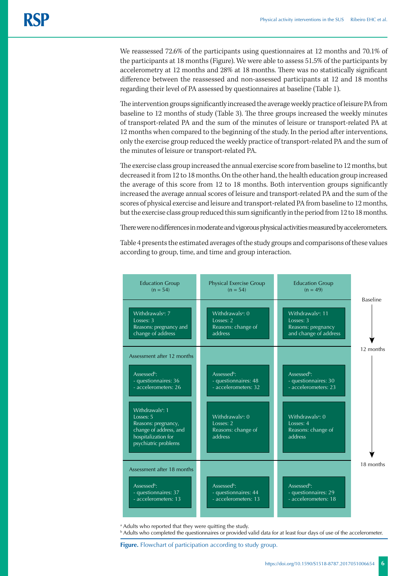We reassessed 72.6% of the participants using questionnaires at 12 months and 70.1% of the participants at 18 months (Figure). We were able to assess 51.5% of the participants by accelerometry at 12 months and 28% at 18 months. There was no statistically significant difference between the reassessed and non-assessed participants at 12 and 18 months regarding their level of PA assessed by questionnaires at baseline (Table 1).

The intervention groups significantly increased the average weekly practice of leisure PA from baseline to 12 months of study (Table 3). The three groups increased the weekly minutes of transport-related PA and the sum of the minutes of leisure or transport-related PA at 12 months when compared to the beginning of the study. In the period after interventions, only the exercise group reduced the weekly practice of transport-related PA and the sum of the minutes of leisure or transport-related PA.

The exercise class group increased the annual exercise score from baseline to 12 months, but decreased it from 12 to 18 months. On the other hand, the health education group increased the average of this score from 12 to 18 months. Both intervention groups significantly increased the average annual scores of leisure and transport-related PA and the sum of the scores of physical exercise and leisure and transport-related PA from baseline to 12 months, but the exercise class group reduced this sum significantly in the period from 12 to 18 months.

There were no differences in moderate and vigorous physical activities measured by accelerometers.

Table 4 presents the estimated averages of the study groups and comparisons of these values according to group, time, and time and group interaction.



a Adults who reported that they were quitting the study.

**b** Adults who completed the questionnaires or provided valid data for at least four days of use of the accelerometer.

**Figure.** Flowchart of participation according to study group.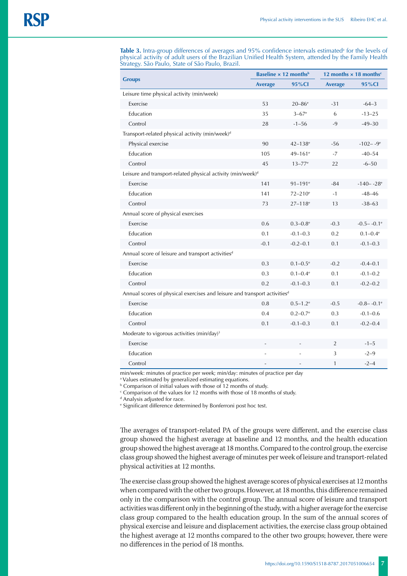**Table 3.** Intra-group differences of averages and 95% confidence intervals estimated<sup>a</sup> for the levels of physical activity of adult users of the Brazilian Unified Health System, attended by the Family Health Strategy. São Paulo, State of São Paulo, Brazil.

| <b>Groups</b>                                                                         |                | <b>Baseline <math>\times</math> 12 months<sup>b</sup></b> | 12 months $\times$ 18 months <sup>c</sup> |                            |  |  |  |  |
|---------------------------------------------------------------------------------------|----------------|-----------------------------------------------------------|-------------------------------------------|----------------------------|--|--|--|--|
|                                                                                       | <b>Average</b> | 95%CI                                                     | <b>Average</b>                            | 95%CI                      |  |  |  |  |
| Leisure time physical activity (min/week)                                             |                |                                                           |                                           |                            |  |  |  |  |
| Exercise                                                                              | 53             | $20 - 86$ <sup>e</sup>                                    | $-31$                                     | $-64-3$                    |  |  |  |  |
| Education                                                                             | 35             | $3 - 67$ <sup>e</sup>                                     | 6                                         | $-13-25$                   |  |  |  |  |
| Control                                                                               | 28             | $-1 - 56$                                                 | $-9$                                      | $-49-30$                   |  |  |  |  |
| Transport-related physical activity (min/week) <sup>d</sup>                           |                |                                                           |                                           |                            |  |  |  |  |
| Physical exercise                                                                     | 90             | $42 - 138$ <sup>e</sup>                                   | $-56$                                     | $-102 - -9$ <sup>e</sup>   |  |  |  |  |
| Education                                                                             | 105            | 49-161 <sup>e</sup>                                       | $-7$                                      | $-40 - 54$                 |  |  |  |  |
| Control                                                                               | 45             | $13 - 77$ <sup>e</sup>                                    | 22                                        | $-6 - 50$                  |  |  |  |  |
| Leisure and transport-related physical activity (min/week) <sup>d</sup>               |                |                                                           |                                           |                            |  |  |  |  |
| Exercise                                                                              | 141            | $91 - 191$ <sup>e</sup>                                   | $-84$                                     | $-140 - -28$ <sup>e</sup>  |  |  |  |  |
| <b>Education</b>                                                                      | 141            | $72 - 210$ <sup>e</sup>                                   | $-1$                                      | $-48-46$                   |  |  |  |  |
| Control                                                                               | 73             | $27 - 118$ <sup>e</sup>                                   | 13                                        | $-38-63$                   |  |  |  |  |
| Annual score of physical exercises                                                    |                |                                                           |                                           |                            |  |  |  |  |
| Exercise                                                                              | 0.6            | $0.3 - 0.8$ <sup>e</sup>                                  | $-0.3$                                    | $-0.5 - -0.1$ <sup>e</sup> |  |  |  |  |
| <b>Education</b>                                                                      | 0.1            | $-0.1 - 0.3$                                              | 0.2                                       | $0.1 - 0.4$ <sup>e</sup>   |  |  |  |  |
| Control                                                                               | $-0.1$         | $-0.2 - 0.1$                                              | 0.1                                       | $-0.1 - 0.3$               |  |  |  |  |
| Annual score of leisure and transport activities <sup>d</sup>                         |                |                                                           |                                           |                            |  |  |  |  |
| Exercise                                                                              | 0.3            | $0.1 - 0.5$ <sup>e</sup>                                  | $-0.2$                                    | $-0.4-0.1$                 |  |  |  |  |
| Education                                                                             | 0.3            | $0.1 - 0.4$ <sup>e</sup>                                  | 0.1                                       | $-0.1 - 0.2$               |  |  |  |  |
| Control                                                                               | 0.2            | $-0.1 - 0.3$                                              | 0.1                                       | $-0.2 - 0.2$               |  |  |  |  |
| Annual scores of physical exercises and leisure and transport activities <sup>d</sup> |                |                                                           |                                           |                            |  |  |  |  |
| Exercise                                                                              | 0.8            | $0.5 - 1.2$ <sup>e</sup>                                  | $-0.5$                                    | $-0.8 - -0.1$ <sup>e</sup> |  |  |  |  |
| Education                                                                             | 0.4            | $0.2 - 0.7$ <sup>e</sup>                                  | 0.3                                       | $-0.1 - 0.6$               |  |  |  |  |
| Control                                                                               | 0.1            | $-0.1 - 0.3$                                              | 0.1                                       | $-0.2 - 0.4$               |  |  |  |  |
| Moderate to vigorous activities (min/day) <sup>3</sup>                                |                |                                                           |                                           |                            |  |  |  |  |
| Exercise                                                                              |                |                                                           | 2                                         | $-1 - 5$                   |  |  |  |  |
| Education                                                                             |                |                                                           | 3                                         | $-2-9$                     |  |  |  |  |
| Control                                                                               |                |                                                           | 1                                         | $-2-4$                     |  |  |  |  |

min/week: minutes of practice per week; min/day: minutes of practice per day

a Values estimated by generalized estimating equations.

b Comparison of initial values with those of 12 months of study.

 $\epsilon$  Comparison of the values for 12 months with those of 18 months of study.

<sup>d</sup> Analysis adjusted for race.

e Significant difference determined by Bonferroni post hoc test.

The averages of transport-related PA of the groups were different, and the exercise class group showed the highest average at baseline and 12 months, and the health education group showed the highest average at 18 months. Compared to the control group, the exercise class group showed the highest average of minutes per week of leisure and transport-related physical activities at 12 months.

The exercise class group showed the highest average scores of physical exercises at 12 months when compared with the other two groups. However, at 18 months, this difference remained only in the comparison with the control group. The annual score of leisure and transport activities was different only in the beginning of the study, with a higher average for the exercise class group compared to the health education group. In the sum of the annual scores of physical exercise and leisure and displacement activities, the exercise class group obtained the highest average at 12 months compared to the other two groups; however, there were no differences in the period of 18 months.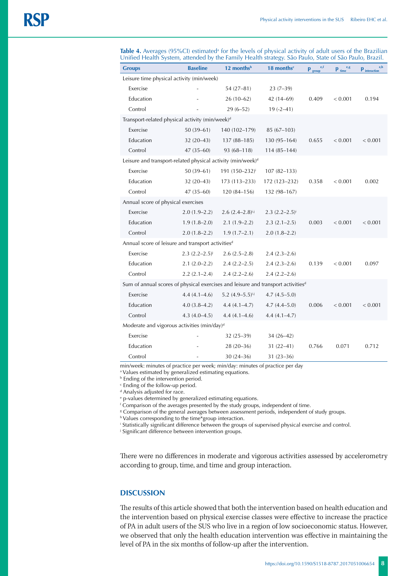| <b>Groups</b>                                                                                | <b>Baseline</b>       | 12 months <sup>b</sup>     | 18 months <sup>c</sup> | e, f<br>$\mathbf{p}_{\text{group}}$ | e, g<br>$p_{time}$ | e,h<br>$\mathbf{p}_{\text{interaction}}$ |  |  |
|----------------------------------------------------------------------------------------------|-----------------------|----------------------------|------------------------|-------------------------------------|--------------------|------------------------------------------|--|--|
| Leisure time physical activity (min/week)                                                    |                       |                            |                        |                                     |                    |                                          |  |  |
| Exercise                                                                                     |                       | $54(27-81)$                | $23(7-39)$             |                                     |                    |                                          |  |  |
| Education                                                                                    |                       | $26(10-62)$                | $42(14-69)$            | 0.409                               | < 0.001            | 0.194                                    |  |  |
| Control                                                                                      |                       | $29(6 - 52)$               | $19(-2-41)$            |                                     |                    |                                          |  |  |
| Transport-related physical activity (min/week) <sup>d</sup>                                  |                       |                            |                        |                                     |                    |                                          |  |  |
| Exercise                                                                                     | $50(39-61)$           | 140 (102-179)              | $85(67-103)$           |                                     |                    |                                          |  |  |
| Education                                                                                    | $32(20-43)$           | $137(88-185)$              | $130(95 - 164)$        | 0.655                               | < 0.001            | < 0.001                                  |  |  |
| Control                                                                                      | $47(35 - 60)$         | 93 (68-118)                | $114(85 - 144)$        |                                     |                    |                                          |  |  |
| Leisure and transport-related physical activity (min/week) <sup>d</sup>                      |                       |                            |                        |                                     |                    |                                          |  |  |
| Exercise                                                                                     | $50(39-61)$           | 191 (150-232) <sup>i</sup> | $107(82 - 133)$        |                                     |                    |                                          |  |  |
| Education                                                                                    | $32(20-43)$           | $173(113 - 233)$           | 172 (123-232)          | 0.358                               | < 0.001            | 0.002                                    |  |  |
| Control                                                                                      | $47(35 - 60)$         | 120 (84-156)               | 132 (98-167)           |                                     |                    |                                          |  |  |
| Annual score of physical exercises                                                           |                       |                            |                        |                                     |                    |                                          |  |  |
| Exercise                                                                                     | $2.0(1.9-2.2)$        | $2.6 (2.4 - 2.8)^{i,j}$    | $2.3 (2.2 - 2.5)^{i}$  |                                     |                    |                                          |  |  |
| Education                                                                                    | $1.9(1.8-2.0)$        | $2.1(1.9-2.2)$             | $2.3(2.1 - 2.5)$       | 0.003                               | < 0.001            | < 0.001                                  |  |  |
| Control                                                                                      | $2.0(1.8 - 2.2)$      | $1.9(1.7-2.1)$             | $2.0(1.8-2.2)$         |                                     |                    |                                          |  |  |
| Annual score of leisure and transport activities <sup>d</sup>                                |                       |                            |                        |                                     |                    |                                          |  |  |
| Exercise                                                                                     | $2.3 (2.2 - 2.5)^{j}$ | $2.6(2.5-2.8)$             | $2.4(2.3-2.6)$         |                                     |                    |                                          |  |  |
| Education                                                                                    | $2.1(2.0-2.2)$        | $2.4(2.2 - 2.5)$           | $2.4(2.3-2.6)$         | 0.139                               | < 0.001            | 0.097                                    |  |  |
| Control                                                                                      | $2.2(2.1 - 2.4)$      | $2.4(2.2 - 2.6)$           | $2.4(2.2 - 2.6)$       |                                     |                    |                                          |  |  |
| Sum of annual scores of physical exercises and leisure and transport activities <sup>d</sup> |                       |                            |                        |                                     |                    |                                          |  |  |
| Exercise                                                                                     | $4.4(4.1-4.6)$        | 5.2 $(4.9-5.5)^{i,j}$      | $4.7(4.5-5.0)$         |                                     |                    |                                          |  |  |
| Education                                                                                    | $4.0(3.8-4.2)$        | $4.4(4.1 - 4.7)$           | $4.7(4.4 - 5.0)$       | 0.006                               | < 0.001            | < 0.001                                  |  |  |
| Control                                                                                      | $4.3(4.0-4.5)$        | $4.4(4.1 - 4.6)$           | $4.4(4.1 - 4.7)$       |                                     |                    |                                          |  |  |
| Moderate and vigorous activities (min/day) <sup>d</sup>                                      |                       |                            |                        |                                     |                    |                                          |  |  |
| Exercise                                                                                     |                       | $32(25-39)$                | $34(26-42)$            |                                     |                    |                                          |  |  |
| Education                                                                                    |                       | $28(20-36)$                | $31(22 - 41)$          | 0.766                               | 0.071              | 0.712                                    |  |  |
| Control                                                                                      |                       | $30(24 - 36)$              | $31(23 - 36)$          |                                     |                    |                                          |  |  |

**Table 4.** Averages (95%CI) estimated<sup>a</sup> for the levels of physical activity of adult users of the Brazilian Unified Health System, attended by the Family Health strategy. São Paulo, State of São Paulo, Brazil.

min/week: minutes of practice per week; min/day: minutes of practice per day

a Values estimated by generalized estimating equations.

**b** Ending of the intervention period.

c Ending of the follow-up period.

<sup>d</sup> Analysis adjusted for race.

e p-values determined by generalized estimating equations.

f Comparison of the averages presented by the study groups, independent of time.

g Comparison of the general averages between assessment periods, independent of study groups.

<sup>h</sup> Values corresponding to the time\*group interaction.

i Statistically significant difference between the groups of supervised physical exercise and control.

j Significant difference between intervention groups.

There were no differences in moderate and vigorous activities assessed by accelerometry according to group, time, and time and group interaction.

# **DISCUSSION**

The results of this article showed that both the intervention based on health education and the intervention based on physical exercise classes were effective to increase the practice of PA in adult users of the SUS who live in a region of low socioeconomic status. However, we observed that only the health education intervention was effective in maintaining the level of PA in the six months of follow-up after the intervention.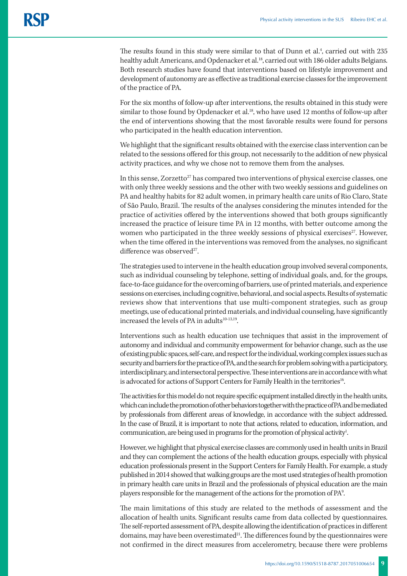The results found in this study were similar to that of Dunn et al.<sup>4</sup>, carried out with  $235$ healthy adult Americans, and Opdenacker et al.<sup>18</sup>, carried out with 186 older adults Belgians. Both research studies have found that interventions based on lifestyle improvement and development of autonomy are as effective as traditional exercise classes for the improvement of the practice of PA.

For the six months of follow-up after interventions, the results obtained in this study were similar to those found by Opdenacker et al.<sup>18</sup>, who have used 12 months of follow-up after the end of interventions showing that the most favorable results were found for persons who participated in the health education intervention.

We highlight that the significant results obtained with the exercise class intervention can be related to the sessions offered for this group, not necessarily to the addition of new physical activity practices, and why we chose not to remove them from the analyses.

In this sense, Zorzetto<sup>27</sup> has compared two interventions of physical exercise classes, one with only three weekly sessions and the other with two weekly sessions and guidelines on PA and healthy habits for 82 adult women, in primary health care units of Rio Claro, State of São Paulo, Brazil. The results of the analyses considering the minutes intended for the practice of activities offered by the interventions showed that both groups significantly increased the practice of leisure time PA in 12 months, with better outcome among the women who participated in the three weekly sessions of physical exercises<sup>27</sup>. However, when the time offered in the interventions was removed from the analyses, no significant difference was observed<sup>27</sup>.

The strategies used to intervene in the health education group involved several components, such as individual counseling by telephone, setting of individual goals, and, for the groups, face-to-face guidance for the overcoming of barriers, use of printed materials, and experience sessions on exercises, including cognitive, behavioral, and social aspects. Results of systematic reviews show that interventions that use multi-component strategies, such as group meetings, use of educational printed materials, and individual counseling, have significantly increased the levels of PA in adults<sup>10-13,19</sup>.

Interventions such as health education use techniques that assist in the improvement of autonomy and individual and community empowerment for behavior change, such as the use of existing public spaces, self-care, and respect for the individual, working complex issues such as security and barriers for the practice of PA, and the search for problem solving with a participatory, interdisciplinary, and intersectoral perspective. These interventions are in accordance with what is advocated for actions of Support Centers for Family Health in the territories<sup>16</sup>.

The activities for this model do not require specific equipment installed directly in the health units, which can include the promotion of other behaviors together with the practice of PA and be mediated by professionals from different areas of knowledge, in accordance with the subject addressed. In the case of Brazil, it is important to note that actions, related to education, information, and communication, are being used in programs for the promotion of physical activity<sup>1</sup>.

However, we highlight that physical exercise classes are commonly used in health units in Brazil and they can complement the actions of the health education groups, especially with physical education professionals present in the Support Centers for Family Health. For example, a study published in 2014 showed that walking groups are the most used strategies of health promotion in primary health care units in Brazil and the professionals of physical education are the main players responsible for the management of the actions for the promotion of PA<sup>9</sup>.

The main limitations of this study are related to the methods of assessment and the allocation of health units. Significant results came from data collected by questionnaires. The self-reported assessment of PA, despite allowing the identification of practices in different domains, may have been overestimated $^{21}$ . The differences found by the questionnaires were not confirmed in the direct measures from accelerometry, because there were problems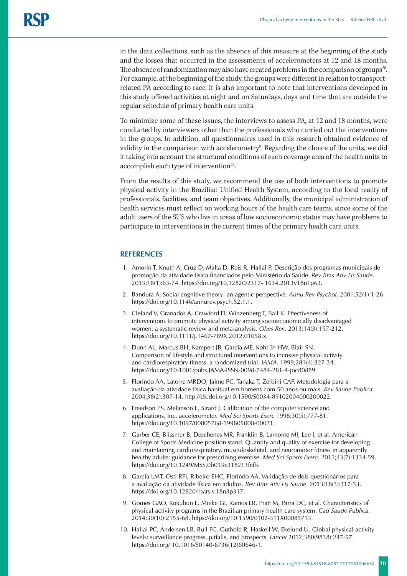in the data collections, such as the absence of this measure at the beginning of the study and the losses that occurred in the assessments of accelerometers at 12 and 18 months. The absence of randomization may also have created problems in the comparison of groups<sup>20</sup>. For example, at the beginning of the study, the groups were different in relation to transportrelated PA according to race. It is also important to note that interventions developed in this study offered activities at night and on Saturdays, days and time that are outside the regular schedule of primary health care units.

To minimize some of these issues, the interviews to assess PA, at 12 and 18 months, were conducted by interviewers other than the professionals who carried out the interventions in the groups. In addition, all questionnaires used in this research obtained evidence of validity in the comparison with accelerometry<sup>8</sup>. Regarding the choice of the units, we did it taking into account the structural conditions of each coverage area of the health units to accomplish each type of intervention $22$ .

From the results of this study, we recommend the use of both interventions to promote physical activity in the Brazilian Unified Health System, according to the local reality of professionals, facilities, and team objectives. Additionally, the municipal administration of health services must reflect on working hours of the health care teams, since some of the adult users of the SUS who live in areas of low socioeconomic status may have problems to participate in interventions in the current times of the primary health care units.

## **REFERENCES**

- 1. Amorin T, Knuth A, Cruz D, Malta D, Reis R, Hallal P. Descrição dos programas municipais de promoção da atividade física financiados pelo Ministério da Saúde. *Rev Bras Ativ Fis Saude*. 2013;18(1):63-74. https://doi.org/10.12820/2317- 1634.2013v18n1p63.
- 2. Bandura A. Social cognitive theory: an agentic perspective. *Annu Rev Psychol*. 2001;52(1):1-26. https://doi.org/10.1146/annurev.psych.52.1.1.
- 3. Cleland V, Granados A, Crawford D, Winzenberg T, Ball K. Effectiveness of interventions to promote physical activity among socioeconomically disadvantaged women: a systematic review and meta-analysis. *Obes Rev*. 2013;14(3):197-212. https://doi.org/10.1111/j.1467-789X.2012.01058.x.
- 4. Dunn AL, Marcus BH, Kampert JB, Garcia ME, Kohl 3rd HW, Blair SN. Comparison of lifestyle and structured interventions to increase physical activity and cardiorespiratory fitness: a randomized trial. *JAMA*. 1999;281(4):327-34. https://doi.org/10-1001/pubs.JAMA-ISSN-0098-7484-281-4-joc80889.
- 5. Florindo AA, Latorre MRDO, Jaime PC, Tanaka T, Zerbini CAF. Metodologia para a avaliação da atividade física habitual em homens com 50 anos ou mais. *Rev Saude Publica.*  2004;38(2):307-14. http://dx.doi.org/10.1590/S0034-89102004000200022.
- 6. Freedson PS, Melanson E, Sirard J. Calibration of the computer science and applications, Inc. accelerometer. *Med Sci Sports Exerc* 1998;30(5):777-81. https://doi.org/10.1097/00005768-199805000-00021.
- 7. Garber CE, Blissmer B, Deschenes MR, Franklin B, Lamonte MJ, Lee I, et al. American College of Sports Medicine position stand. Quantity and quality of exercise for developing and maintaining cardiorespiratory, musculoskeletal, and neuromotor fitness in apparently healthy adults: guidance for prescribing exercise. *Med Sci Sports Exerc*. 2011;43(7):1334-59. https://doi.org/10.1249/MSS.0b013e318213fefb.
- 8. Garcia LMT, Osti RFI, Ribeiro EHC, Florindo AA. Validação de dois questionários para a avaliação da atividade física em adultos. *Rev Bras Ativ Fis Saude*. 2013;18(3):317-33. https://doi.org/10.12820/rbafs.v.18n3p317.
- 9. Gomes GAO, Kokubun E, Mieke GI, Ramos LR, Pratt M, Parra DC, et al. Characteristics of physical activity programs in the Brazilian primary health care system. *Cad Saude Publica*. 2014;30(10):2155-68. https://doi.org/10.1590/0102-311X00085713.
- 10. Hallal PC, Andersen LB, Bull FC, Guthold R, Haskell W, Ekelund U. Global physical activity levels: surveillance progress, pitfalls, and prospects. *Lancet* 2012;380(9838):247-57. https://doi.org/ 10.1016/S0140-6736(12)60646-1.